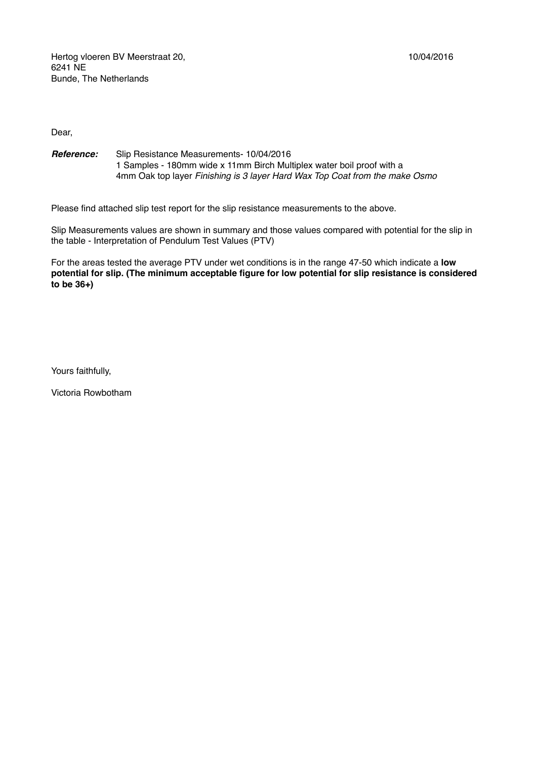Hertog vloeren BV Meerstraat 20, 10/04/2016 6241 NE Bunde, The Netherlands

Dear,

*Reference:* Slip Resistance Measurements- 10/04/2016 1 Samples - 180mm wide x 11mm Birch Multiplex water boil proof with a 4mm Oak top layer *Finishing is 3 layer Hard Wax Top Coat from the make Osmo* 

Please find attached slip test report for the slip resistance measurements to the above.

Slip Measurements values are shown in summary and those values compared with potential for the slip in the table - Interpretation of Pendulum Test Values (PTV)

For the areas tested the average PTV under wet conditions is in the range 47-50 which indicate a **low potential for slip. (The minimum acceptable figure for low potential for slip resistance is considered to be 36+)**

Yours faithfully,

Victoria Rowbotham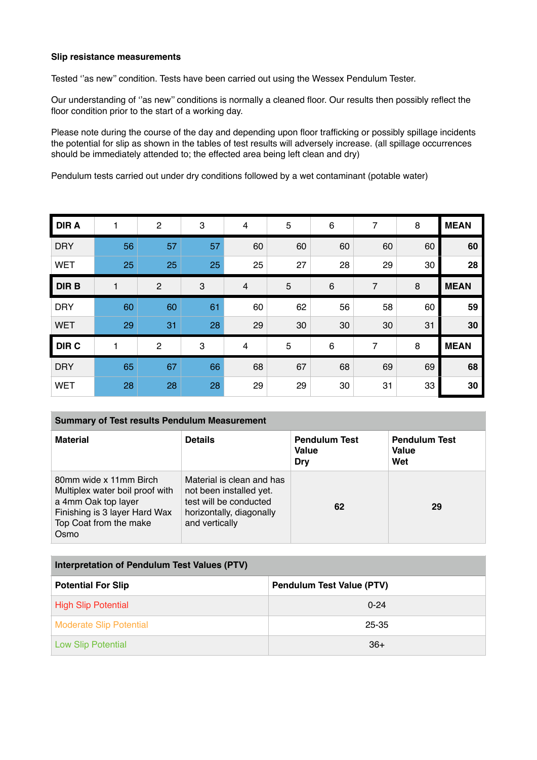## **Slip resistance measurements**

Tested ''as new'' condition. Tests have been carried out using the Wessex Pendulum Tester.

Our understanding of ''as new'' conditions is normally a cleaned floor. Our results then possibly reflect the floor condition prior to the start of a working day.

Please note during the course of the day and depending upon floor trafficking or possibly spillage incidents the potential for slip as shown in the tables of test results will adversely increase. (all spillage occurrences should be immediately attended to; the effected area being left clean and dry)

Pendulum tests carried out under dry conditions followed by a wet contaminant (potable water)

| <b>DIRA</b> |    | $\mathbf{2}$   | 3  | 4  | 5  | $\,6$ | $\overline{7}$ | 8  | <b>MEAN</b> |
|-------------|----|----------------|----|----|----|-------|----------------|----|-------------|
| <b>DRY</b>  | 56 | 57             | 57 | 60 | 60 | 60    | 60             | 60 | 60          |
| <b>WET</b>  | 25 | 25             | 25 | 25 | 27 | 28    | 29             | 30 | 28          |
| <b>DIRB</b> |    | $\overline{2}$ | 3  | 4  | 5  | $\,6$ | 7              | 8  | <b>MEAN</b> |
| <b>DRY</b>  | 60 | 60             | 61 | 60 | 62 | 56    | 58             | 60 | 59          |
| <b>WET</b>  | 29 | 31             | 28 | 29 | 30 | 30    | 30             | 31 | 30          |
| <b>DIRC</b> |    | $\overline{2}$ | 3  | 4  | 5  | 6     | 7              | 8  | <b>MEAN</b> |
| <b>DRY</b>  | 65 | 67             | 66 | 68 | 67 | 68    | 69             | 69 | 68          |
| <b>WET</b>  | 28 | 28             | 28 | 29 | 29 | 30    | 31             | 33 | 30          |

## **Summary of Test results Pendulum Measurement**

| <b>Material</b>                                                                                                                                     | <b>Details</b>                                                                                                               | <b>Pendulum Test</b><br><b>Value</b><br>Dry | <b>Pendulum Test</b><br><b>Value</b><br>Wet |
|-----------------------------------------------------------------------------------------------------------------------------------------------------|------------------------------------------------------------------------------------------------------------------------------|---------------------------------------------|---------------------------------------------|
| 80mm wide x 11mm Birch<br>Multiplex water boil proof with<br>a 4mm Oak top layer<br>Finishing is 3 layer Hard Wax<br>Top Coat from the make<br>Osmo | Material is clean and has<br>not been installed yet.<br>test will be conducted<br>horizontally, diagonally<br>and vertically | 62                                          | 29                                          |

| Interpretation of Pendulum Test Values (PTV) |                                  |  |  |  |  |
|----------------------------------------------|----------------------------------|--|--|--|--|
| <b>Potential For Slip</b>                    | <b>Pendulum Test Value (PTV)</b> |  |  |  |  |
| <b>High Slip Potential</b>                   | $0 - 24$                         |  |  |  |  |
| <b>Moderate Slip Potential</b>               | 25-35                            |  |  |  |  |
| <b>Low Slip Potential</b>                    | $36+$                            |  |  |  |  |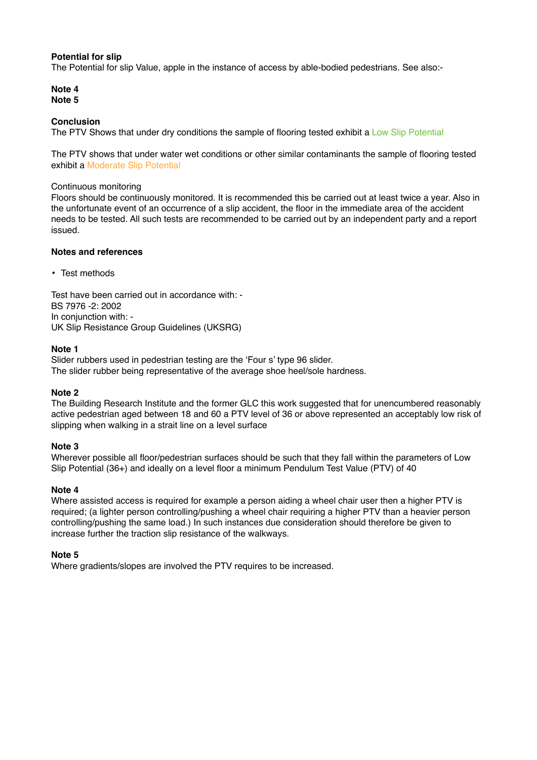### **Potential for slip**

The Potential for slip Value, apple in the instance of access by able-bodied pedestrians. See also:-

**Note 4 Note 5** 

### **Conclusion**

The PTV Shows that under dry conditions the sample of flooring tested exhibit a Low Slip Potential

The PTV shows that under water wet conditions or other similar contaminants the sample of flooring tested exhibit a Moderate Slip Potential

#### Continuous monitoring

Floors should be continuously monitored. It is recommended this be carried out at least twice a year. Also in the unfortunate event of an occurrence of a slip accident, the floor in the immediate area of the accident needs to be tested. All such tests are recommended to be carried out by an independent party and a report issued.

### **Notes and references**

*•* Test methods

Test have been carried out in accordance with: - BS 7976 -2: 2002 In conjunction with: - UK Slip Resistance Group Guidelines (UKSRG)

### **Note 1**

Slider rubbers used in pedestrian testing are the 'Four s' type 96 slider. The slider rubber being representative of the average shoe heel/sole hardness.

### **Note 2**

The Building Research Institute and the former GLC this work suggested that for unencumbered reasonably active pedestrian aged between 18 and 60 a PTV level of 36 or above represented an acceptably low risk of slipping when walking in a strait line on a level surface

### **Note 3**

Wherever possible all floor/pedestrian surfaces should be such that they fall within the parameters of Low Slip Potential (36+) and ideally on a level floor a minimum Pendulum Test Value (PTV) of 40

### **Note 4**

Where assisted access is required for example a person aiding a wheel chair user then a higher PTV is required; (a lighter person controlling/pushing a wheel chair requiring a higher PTV than a heavier person controlling/pushing the same load.) In such instances due consideration should therefore be given to increase further the traction slip resistance of the walkways.

### **Note 5**

Where gradients/slopes are involved the PTV requires to be increased.